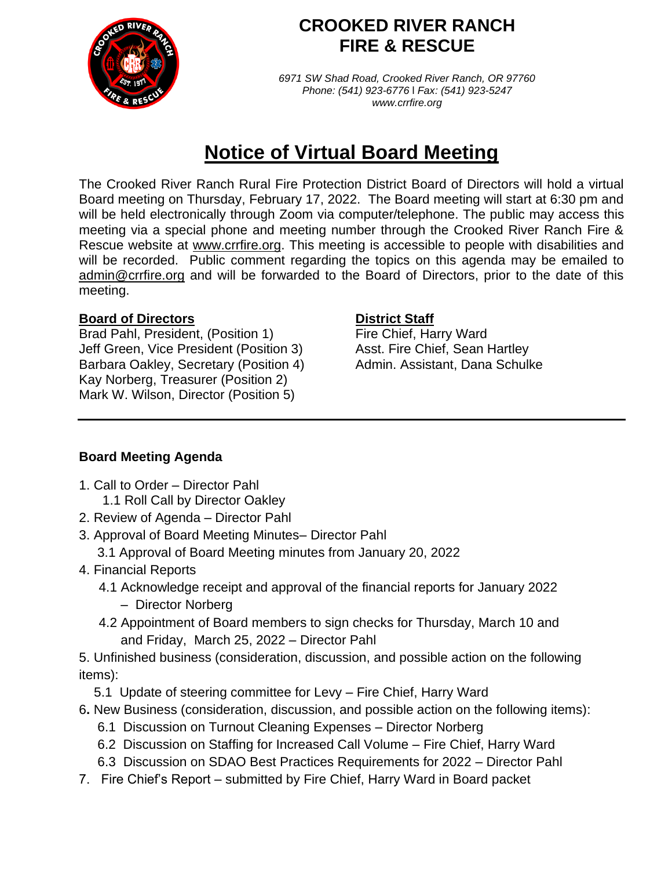

## **CROOKED RIVER RANCH FIRE & RESCUE**

*6971 SW Shad Road, Crooked River Ranch, OR 97760 Phone: (541) 923-6776* l *Fax: (541) 923-5247 www.crrfire.org*

# **Notice of Virtual Board Meeting**

The Crooked River Ranch Rural Fire Protection District Board of Directors will hold a virtual Board meeting on Thursday, February 17, 2022. The Board meeting will start at 6:30 pm and will be held electronically through Zoom via computer/telephone. The public may access this meeting via a special phone and meeting number through the Crooked River Ranch Fire & Rescue website at www.crrfire.org. This meeting is accessible to people with disabilities and will be recorded. Public comment regarding the topics on this agenda may be emailed to [admin@crrfire.org](mailto:admin@crrfire.org) and will be forwarded to the Board of Directors, prior to the date of this meeting.

#### **Board of Directors District Staff**

Brad Pahl, President, (Position 1) Fire Chief, Harry Ward Jeff Green, Vice President (Position 3) Asst. Fire Chief, Sean Hartley Barbara Oakley, Secretary (Position 4) Admin. Assistant, Dana Schulke Kay Norberg, Treasurer (Position 2) Mark W. Wilson, Director (Position 5)

### **Board Meeting Agenda**

- 1. Call to Order Director Pahl 1.1 Roll Call by Director Oakley
- 2. Review of Agenda Director Pahl
- 3. Approval of Board Meeting Minutes– Director Pahl
	- 3.1 Approval of Board Meeting minutes from January 20, 2022
- 4. Financial Reports
	- 4.1 Acknowledge receipt and approval of the financial reports for January 2022
		- Director Norberg
	- 4.2 Appointment of Board members to sign checks for Thursday, March 10 and and Friday, March 25, 2022 – Director Pahl
- 5. Unfinished business (consideration, discussion, and possible action on the following items):
	- 5.1 Update of steering committee for Levy Fire Chief, Harry Ward
- 6**.** New Business (consideration, discussion, and possible action on the following items):
	- 6.1 Discussion on Turnout Cleaning Expenses Director Norberg
	- 6.2 Discussion on Staffing for Increased Call Volume Fire Chief, Harry Ward
	- 6.3 Discussion on SDAO Best Practices Requirements for 2022 Director Pahl
- 7. Fire Chief's Report submitted by Fire Chief, Harry Ward in Board packet